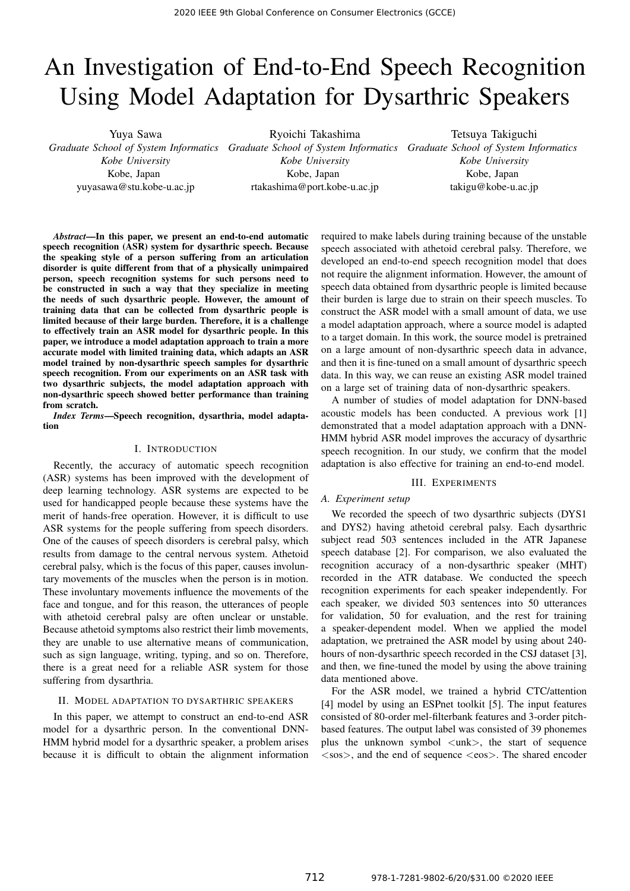# An Investigation of End-to-End Speech Recognition Using Model Adaptation for Dysarthric Speakers

Yuya Sawa *Graduate School of System Informatics Graduate School of System Informatics Graduate School of System Informatics Kobe University* Kobe, Japan yuyasawa@stu.kobe-u.ac.jp

Ryoichi Takashima

*Kobe University* Kobe, Japan rtakashima@port.kobe-u.ac.jp

Tetsuya Takiguchi *Kobe University* Kobe, Japan takigu@kobe-u.ac.jp

*Abstract*—In this paper, we present an end-to-end automatic speech recognition (ASR) system for dysarthric speech. Because the speaking style of a person suffering from an articulation disorder is quite different from that of a physically unimpaired person, speech recognition systems for such persons need to be constructed in such a way that they specialize in meeting the needs of such dysarthric people. However, the amount of training data that can be collected from dysarthric people is limited because of their large burden. Therefore, it is a challenge to effectively train an ASR model for dysarthric people. In this paper, we introduce a model adaptation approach to train a more accurate model with limited training data, which adapts an ASR model trained by non-dysarthric speech samples for dysarthric speech recognition. From our experiments on an ASR task with two dysarthric subjects, the model adaptation approach with non-dysarthric speech showed better performance than training from scratch.

*Index Terms*—Speech recognition, dysarthria, model adaptation

## I. INTRODUCTION

Recently, the accuracy of automatic speech recognition (ASR) systems has been improved with the development of deep learning technology. ASR systems are expected to be used for handicapped people because these systems have the merit of hands-free operation. However, it is difficult to use ASR systems for the people suffering from speech disorders. One of the causes of speech disorders is cerebral palsy, which results from damage to the central nervous system. Athetoid cerebral palsy, which is the focus of this paper, causes involuntary movements of the muscles when the person is in motion. These involuntary movements influence the movements of the face and tongue, and for this reason, the utterances of people with athetoid cerebral palsy are often unclear or unstable. Because athetoid symptoms also restrict their limb movements, they are unable to use alternative means of communication, such as sign language, writing, typing, and so on. Therefore, there is a great need for a reliable ASR system for those suffering from dysarthria.

### II. MODEL ADAPTATION TO DYSARTHRIC SPEAKERS

In this paper, we attempt to construct an end-to-end ASR model for a dysarthric person. In the conventional DNN-HMM hybrid model for a dysarthric speaker, a problem arises because it is difficult to obtain the alignment information

required to make labels during training because of the unstable speech associated with athetoid cerebral palsy. Therefore, we developed an end-to-end speech recognition model that does not require the alignment information. However, the amount of speech data obtained from dysarthric people is limited because their burden is large due to strain on their speech muscles. To construct the ASR model with a small amount of data, we use a model adaptation approach, where a source model is adapted to a target domain. In this work, the source model is pretrained on a large amount of non-dysarthric speech data in advance, and then it is fine-tuned on a small amount of dysarthric speech data. In this way, we can reuse an existing ASR model trained on a large set of training data of non-dysarthric speakers.

A number of studies of model adaptation for DNN-based acoustic models has been conducted. A previous work [1] demonstrated that a model adaptation approach with a DNN-HMM hybrid ASR model improves the accuracy of dysarthric speech recognition. In our study, we confirm that the model adaptation is also effective for training an end-to-end model.

#### III. EXPERIMENTS

#### *A. Experiment setup*

We recorded the speech of two dysarthric subjects (DYS1 and DYS2) having athetoid cerebral palsy. Each dysarthric subject read 503 sentences included in the ATR Japanese speech database [2]. For comparison, we also evaluated the recognition accuracy of a non-dysarthric speaker (MHT) recorded in the ATR database. We conducted the speech recognition experiments for each speaker independently. For each speaker, we divided 503 sentences into 50 utterances for validation, 50 for evaluation, and the rest for training a speaker-dependent model. When we applied the model adaptation, we pretrained the ASR model by using about 240 hours of non-dysarthric speech recorded in the CSJ dataset [3], and then, we fine-tuned the model by using the above training data mentioned above.

For the ASR model, we trained a hybrid CTC/attention [4] model by using an ESPnet toolkit [5]. The input features consisted of 80-order mel-filterbank features and 3-order pitchbased features. The output label was consisted of 39 phonemes plus the unknown symbol  $\langle$ unk $\rangle$ , the start of sequence <sos>, and the end of sequence <eos>. The shared encoder